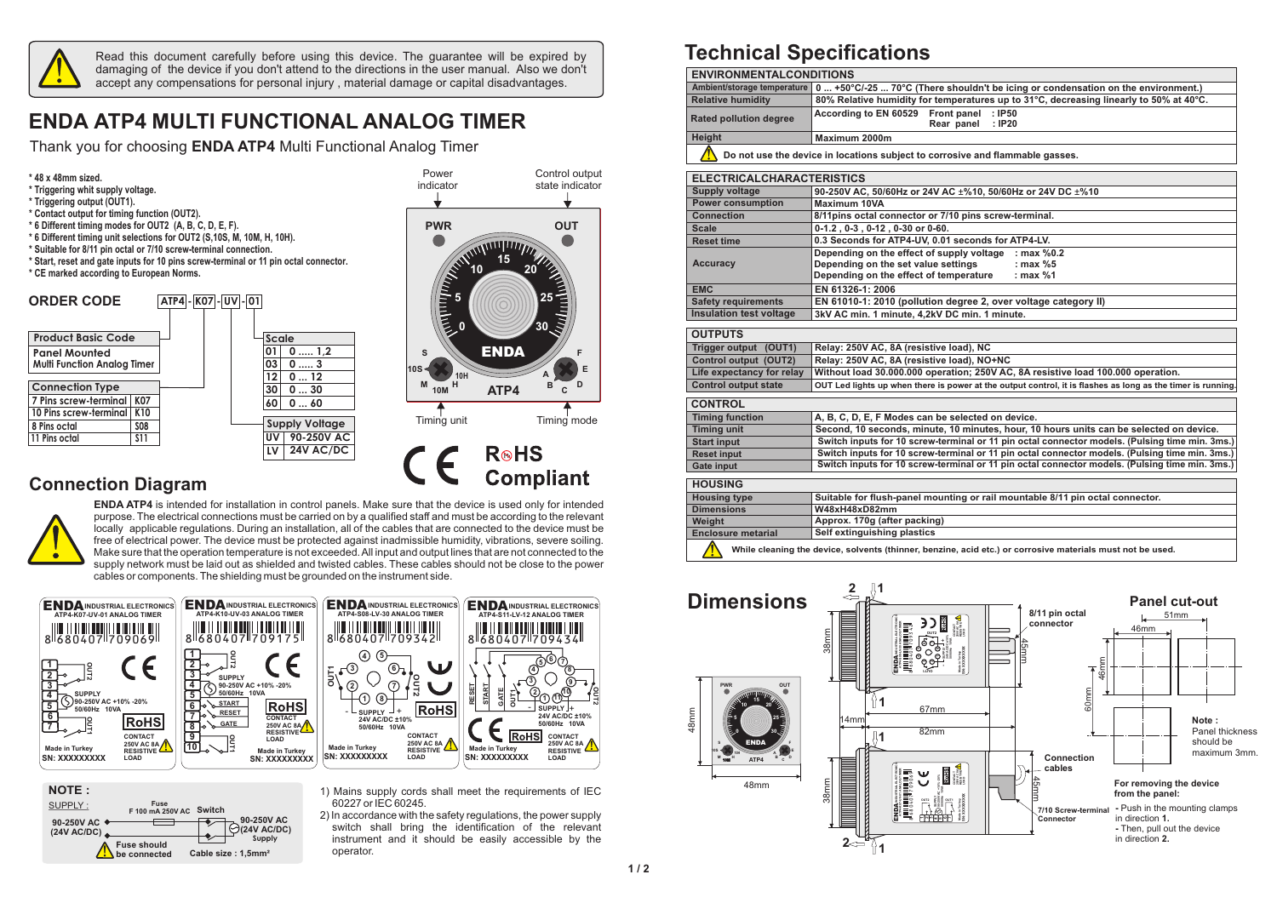

Read this document carefully before using this device. The guarantee will be expired by damaging of the device if you don't attend to the directions in the user manual. Also we don't accept any compensations for personal injury , material damage or capital disadvantages.

# **ENDA ATP4 MULTI FUNCTIONAL ANALOG TIMER**

Thank you for choosing **ENDA ATP4** Multi Functional Analog Timer



### **Connection Diagram**



**ENDA ATP4** is intended for installation in control panels. Make sure that the device is used only for intended purpose. The electrical connections must be carried on by a qualified staff and must be according to the relevant locally applicable regulations. During an installation, all of the cables that are connected to the device must be free of electrical power. The device must be protected against inadmissible humidity, vibrations, severe soiling. Make sure that the operation temperature is not exceeded. All input and output lines that are not connected to the supply network must be laid out as shielded and twisted cables. These cables should not be close to the power cables or components. The shielding must be grounded on the instrument side.

| <b>ENDA INDUSTRIAL ELECTRONICS</b><br>ATP4-K07-UV-01 ANALOG TIMER<br>8680407 709069                                                                                             | <b>ENDA INDUSTRIAL ELECTRONICS</b><br>ATP4-K10-UV-03 ANALOG TIMER<br>┉<br>8680407209175                                                                                                                                   | <b>ENDA INDUSTRIAL ELECTRONICS</b><br>ATP4-S08-LV-30 ANALOG TIMER<br>8 680407 709342                                                                                                                                                                            | <b>ENDA INDUSTRIAL ELECTRONICS</b><br>ATP4-S11-LV-12 ANALOG TIMER<br>8680407709434                                                                                                                      |
|---------------------------------------------------------------------------------------------------------------------------------------------------------------------------------|---------------------------------------------------------------------------------------------------------------------------------------------------------------------------------------------------------------------------|-----------------------------------------------------------------------------------------------------------------------------------------------------------------------------------------------------------------------------------------------------------------|---------------------------------------------------------------------------------------------------------------------------------------------------------------------------------------------------------|
| <b>SUPPLY</b><br>90-250V AC +10% -20%<br>50/60Hz 10VA<br>6<br><b>RoHS</b><br><b>CONTACT</b><br>250V AC 8A<br><b>Made in Turkey</b><br><b>RESISTIVE</b><br>SN: XXXXXXXXX<br>LOAD | <b>SUPPLY</b><br>90-250V AC +10% -20%<br>50/60Hz 10VA<br>5<br>START<br><b>RoHS</b><br>6<br><b>RESET</b><br>CONTACT<br>GATE<br>250V AC 8A<br>RESISTIVE <sup>L</sup><br>9<br>LOAD<br><b>Made in Turkev</b><br>SN: XXXXXXXXX | (5)<br>$\left( 4\right)$<br>$\sqcap$ (3)<br>(6)-<br>$\circ$<br>(2)<br>(8)<br><b>RoHS</b><br><b>SUPPLY</b><br>24V AC/DC ±10%<br>50/60Hz 10VA<br><b>CONTACT</b><br><b>250V AC 8A</b><br><b>Made in Turkey</b><br><b>RESISTIVE</b><br><b>SN: XXXXXXXXX</b><br>LOAD | (9<br><b>SET</b><br>띭<br>SUPPLY J+<br>24V AC/DC ±10%<br>50/60Hz 10VA<br><b>RoHS</b><br><b>CONTACT</b><br><b>250V AC 8A</b><br><b>Made in Turkey</b><br><b>RESISTIVE</b><br><b>SN: XXXXXXXXX</b><br>LOAD |



- 1) Mains supply cords shall meet the requirements of IEC 60227 or IEC 60245.
- 2) In accordance with the safety regulations, the power supply switch shall bring the identification of the relevant instrument and it should be easily accessible by the operator.

## **Technical Specifications**

|                                                                                                            | <b>ENVIRONMENTALCONDITIONS</b>                                                                                  |  |  |  |
|------------------------------------------------------------------------------------------------------------|-----------------------------------------------------------------------------------------------------------------|--|--|--|
|                                                                                                            | Ambient/storage temperature   0  +50°C/-25  70°C (There shouldn't be icing or condensation on the environment.) |  |  |  |
| <b>Relative humidity</b>                                                                                   | 80% Relative humidity for temperatures up to 31°C, decreasing linearly to 50% at 40°C.                          |  |  |  |
| <b>Rated pollution degree</b>                                                                              | According to EN 60529 Front panel<br>: IP50<br>: IP20<br>Rear panel                                             |  |  |  |
| Height                                                                                                     | Maximum 2000m                                                                                                   |  |  |  |
|                                                                                                            | Do not use the device in locations subject to corrosive and flammable gasses.                                   |  |  |  |
|                                                                                                            | <b>ELECTRICALCHARACTERISTICS</b>                                                                                |  |  |  |
| <b>Supply voltage</b>                                                                                      | 90-250V AC, 50/60Hz or 24V AC ±%10, 50/60Hz or 24V DC ±%10                                                      |  |  |  |
| <b>Power consumption</b>                                                                                   | Maximum 10VA                                                                                                    |  |  |  |
| Connection                                                                                                 | 8/11pins octal connector or 7/10 pins screw-terminal.                                                           |  |  |  |
| <b>Scale</b>                                                                                               | 0-1.2, 0-3, 0-12, 0-30 or 0-60.                                                                                 |  |  |  |
| <b>Reset time</b>                                                                                          | 0.3 Seconds for ATP4-UV, 0.01 seconds for ATP4-LV.                                                              |  |  |  |
|                                                                                                            | Depending on the effect of supply voltage : max %0.2                                                            |  |  |  |
| Accuracy                                                                                                   | Depending on the set value settings<br>: max %5                                                                 |  |  |  |
|                                                                                                            | Depending on the effect of temperature<br>: max %1                                                              |  |  |  |
| <b>EMC</b>                                                                                                 | EN 61326-1: 2006                                                                                                |  |  |  |
| <b>Safety requirements</b>                                                                                 | EN 61010-1: 2010 (pollution degree 2, over voltage category II)                                                 |  |  |  |
| <b>Insulation test voltage</b>                                                                             | 3kV AC min. 1 minute, 4,2kV DC min. 1 minute.                                                                   |  |  |  |
| <b>OUTPUTS</b>                                                                                             |                                                                                                                 |  |  |  |
| Trigger output (OUT1)                                                                                      | Relay: 250V AC, 8A (resistive load), NC                                                                         |  |  |  |
| Control output (OUT2)                                                                                      | Relay: 250V AC, 8A (resistive load), NO+NC                                                                      |  |  |  |
| Life expectancy for relay                                                                                  | Without load 30.000.000 operation; 250V AC, 8A resistive load 100.000 operation.                                |  |  |  |
| <b>Control output state</b>                                                                                | OUT Led lights up when there is power at the output control, it is flashes as long as the timer is running.     |  |  |  |
| <b>CONTROL</b>                                                                                             |                                                                                                                 |  |  |  |
| <b>Timing function</b>                                                                                     | A, B, C, D, E, F Modes can be selected on device.                                                               |  |  |  |
| <b>Timing unit</b>                                                                                         | Second, 10 seconds, minute, 10 minutes, hour, 10 hours units can be selected on device.                         |  |  |  |
| <b>Start input</b>                                                                                         | Switch inputs for 10 screw-terminal or 11 pin octal connector models. (Pulsing time min. 3ms.)                  |  |  |  |
| <b>Reset input</b>                                                                                         | Switch inputs for 10 screw-terminal or 11 pin octal connector models. (Pulsing time min. 3ms.)                  |  |  |  |
| <b>Gate input</b>                                                                                          | Switch inputs for 10 screw-terminal or 11 pin octal connector models. (Pulsing time min. 3ms.)                  |  |  |  |
| <b>HOUSING</b>                                                                                             |                                                                                                                 |  |  |  |
| <b>Housing type</b>                                                                                        | Suitable for flush-panel mounting or rail mountable 8/11 pin octal connector.                                   |  |  |  |
| <b>Dimensions</b>                                                                                          | W48xH48xD82mm                                                                                                   |  |  |  |
| Weight                                                                                                     | Approx. 170g (after packing)                                                                                    |  |  |  |
| <b>Enclosure metarial</b>                                                                                  | Self extinguishing plastics                                                                                     |  |  |  |
| While cleaning the device, solvents (thinner, benzine, acid etc.) or corrosive materials must not be used. |                                                                                                                 |  |  |  |



**E**